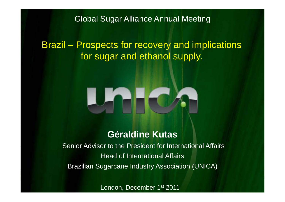Global Sugar Alliance Annual Meeting

Brazil – Prospects for recovery and implications for sugar and ethanol supply.



## **Géraldine Kutas**

Senior Advisor to the President for International Affairs Head of International Affairs Brazilian Sugarcane Industry Association (UNICA)

London, December 1st 2011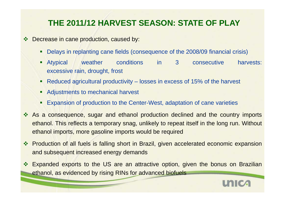# **THE 2011/12 HARVEST SEASON: STATE OF PLAY**

- $\frac{1}{2}$  Decrease in cane production, caused by:
	- ٠ Delays in replanting cane fields (consequence of the 2008/09 financial crisis)
	- $\blacksquare$  Atypical weather conditions in 3 consecutive harvests: excessive rain, drought, frost
	- Reduced agricultural productivity losses in excess of 15% of the harvest
	- $\blacksquare$ Adjustments to mechanical harvest
	- ٠ • Expansion of production to the Center-West, adaptation of cane varieties
- $\mathbf{v}_i^{\star}$ As a consequence, sugar and ethanol production declined and the country imports ethanol. This reflects a temporary snag, unlikely to repeat itself in the long run. Without ethanol imports, more gasoline imports would be required
- ◆ Production of all fuels is falling short in Brazil, given accelerated economic expansion and subsequent increased energy demands
- $\frac{1}{2}$  Expanded exports to the US are an attractive option, given the bonus on Brazilian ethanol, as evidenced by rising RINs for advanced biofuels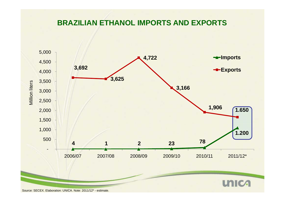#### **BRAZILIAN ETHANOL IMPORTS AND EXPORTS**

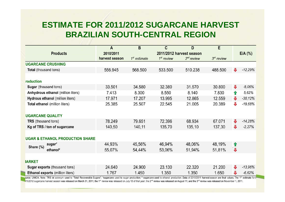## **ESTIMATE FOR 2011/2012 SUGARCANE HARVEST BRAZILIAN SOUTH -CENTRAL REGION CENTRAL**

|                                            | A              | B                        | C            | D            | E            |   |                                  |  |
|--------------------------------------------|----------------|--------------------------|--------------|--------------|--------------|---|----------------------------------|--|
| <b>Products</b>                            | 2010/2011      | 2011/2012 harvest season |              |              |              |   | $E/A$ $\left(\frac{9}{6}\right)$ |  |
|                                            | harvest season | $1st$ estimate           | $1st$ review | $2nd$ review | $3rd$ review |   |                                  |  |
| <b>UGARCANE CRUSHING</b>                   |                |                          |              |              |              |   |                                  |  |
| Total (thousand tons)                      | 556.945        | 568.500                  | 533.500      | 510.238      | 488.500      |   | $-12,29%$                        |  |
| roduction                                  |                |                          |              |              |              |   |                                  |  |
| Sugar (thousand tons)                      | 33.501         | 34.580                   | 32.380       | 31.570       | 30.800       | ⊕ | $-8,06%$                         |  |
| Anhydrous ethanol (million liters)         | 7.413          | 8.300                    | 8.550        | 8.140        | 7.830        | ⇑ | 5,62%                            |  |
| Hydrous ethanol (million liters)           | 17.971         | 17.207                   | 13.995       | 12.865       | 12.559       | ⊕ | $-30,12%$                        |  |
| Total ethanol (million liters)             | 25.385         | 25.507                   | 22.545       | 21.005       | 20.389       | ⊕ | $-19,68%$                        |  |
| <b>UGARCANE QUALITY</b>                    |                |                          |              |              |              |   |                                  |  |
| <b>TRS</b> (thousand tons)                 | 78.249         | 79.651                   | 72.396       | 68.934       | 67.071       | ⊕ | $-14,28%$                        |  |
| Kg of TRS / ton of sugarcane               | 140,50         | 140,11                   | 135,70       | 135,10       | 137,30       | ⊕ | $-2,27%$                         |  |
| <b>UGAR &amp; ETHANOL PRODUCTION SHARE</b> |                |                          |              |              |              |   |                                  |  |
| sugar <sup>1</sup>                         | 44,93%         | 45,56%                   | 46,94%       | 48,06%       | 48,19%       | ⇑ |                                  |  |
| Share (%)<br>ethanol <sup>2</sup>          | 55,07%         | 54,44%                   | 53,06%       | 51,94%       | 51,81%       | ⊕ |                                  |  |
| <b>IARKET</b>                              |                |                          |              |              |              |   |                                  |  |
| Sugar exports (thousand tons)              | 24.640         | 24.900                   | 23.130       | 22.320       | 21.200       | ⊕ | $-13,96%$                        |  |
| <b>Ethanol exports (million liters)</b>    | 1.767          | 1.450                    | 1.350        | 1.350        | 1.650        | J | $-6,62%$                         |  |

purce: UNICA. Note: TRS ist acronym used to "Total Recoverable Sugars"; 'sugarcane used to sugar production; <sup>2</sup> sugarcane used to ethanol production. Data of 2010/2011 harvest season are final values. The 1<sup>st</sup> estimate f 11/2012 sugarcane harvest season was released on March 31, 2011; the 1st review was released on July 13 of that year; the 2<sup>nd</sup> review was released on August 11; and the 3<sup>rd</sup> review was released on November 1, 2011.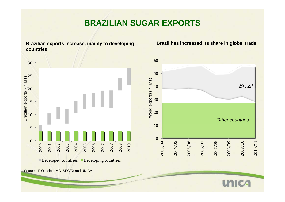#### **BRAZILIAN SUGAR EXPORTS**



**Brazilian exports increase, mainly to developing Brazil has increased its share in global trade**



Sources: F.O.Licht, LMC, SECEX and UNICA.

#### **UNICA**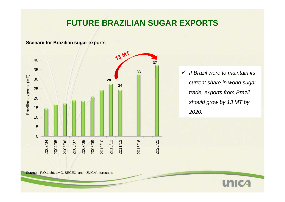#### **FUTURE BRAZILIAN SUGAR EXPORTS**

**Scenarii for Brazilian sugar exports**



 *If Brazil were to maintain its* **<sup>33</sup>** *current share in world sugar trade, exports from Brazil h ld b 13 MT b s hould grow by by 2020.*

Sources: F.O.Licht, LMC, SECEX and UNICA's forecasts

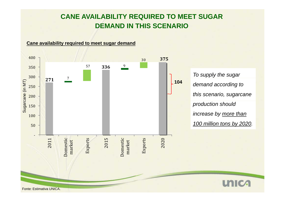#### **CANE AVAILABILITY REQUIRED TO MEET SUGAR DEMAND IN THIS SCENARIO**

**Cane availability required to meet sugar demand**

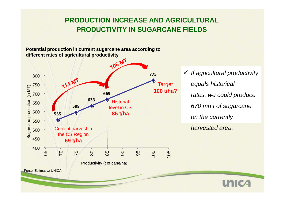#### **PRODUCTION INCREASE AND AGRICULTURAL PRODUCTIVITY IN SUGARCANE FIELDS**

**Potential production in current sugarcane area according to different rates of agricultural productivity**



*equals historical rates, we could produce 670 mn t of sugarcane harvested area.* 

**unica**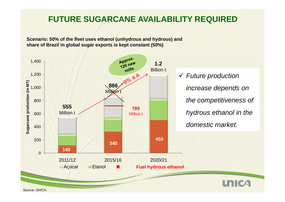### **FUTURE SUGARCANE AVAILABILITY REQUIRED**

**Scenario: 50% of the fleet uses ethanol (unhydrous and hydrous) and share of Brazil in global sugar exports is kept constant (50%)**